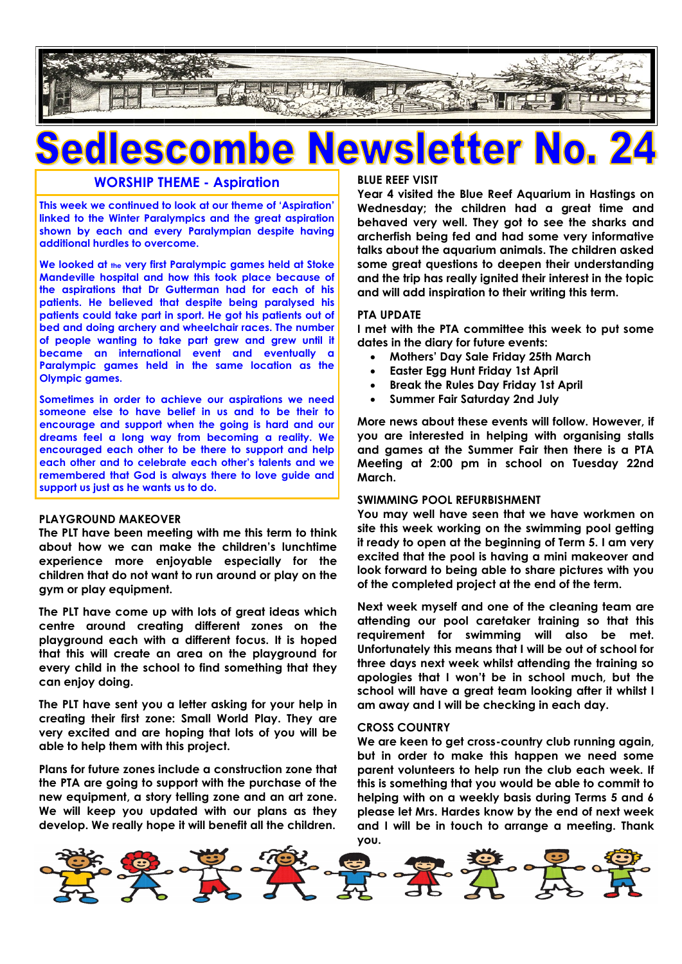

# vsletter CO

## **WORSHIP THEME - Aspiration**

**This week we continued to look at our theme of 'Aspiration' linked to the Winter Paralympics and the great aspiration shown by each and every Paralympian despite having additional hurdles to overcome.**

**We looked at the very first Paralympic games held at Stoke Mandeville hospital and how this took place because of the aspirations that Dr Gutterman had for each of his patients. He believed that despite being paralysed his patients could take part in sport. He got his patients out of bed and doing archery and wheelchair races. The number of people wanting to take part grew and grew until it became an international event and eventually a Paralympic games held in the same location as the Olympic games.**

**Sometimes in order to achieve our aspirations we need someone else to have belief in us and to be their to encourage and support when the going is hard and our dreams feel a long way from becoming a reality. We encouraged each other to be there to support and help each other and to celebrate each other's talents and we remembered that God is always there to love guide and support us just as he wants us to do.**

### **PLAYGROUND MAKEOVER**

**The PLT have been meeting with me this term to think about how we can make the children's lunchtime experience more enjoyable especially for the children that do not want to run around or play on the gym or play equipment.**

**The PLT have come up with lots of great ideas which centre around creating different zones on the playground each with a different focus. It is hoped that this will create an area on the playground for every child in the school to find something that they can enjoy doing.**

**The PLT have sent you a letter asking for your help in creating their first zone: Small World Play. They are very excited and are hoping that lots of you will be able to help them with this project.**

**Plans for future zones include a construction zone that the PTA are going to support with the purchase of the new equipment, a story telling zone and an art zone. We will keep you updated with our plans as they develop. We really hope it will benefit all the children.**

#### **BLUE REEF VISIT**

**Year 4 visited the Blue Reef Aquarium in Hastings on Wednesday; the children had a great time and behaved very well. They got to see the sharks and archerfish being fed and had some very informative talks about the aquarium animals. The children asked some great questions to deepen their understanding and the trip has really ignited their interest in the topic and will add inspiration to their writing this term.**

#### **PTA UPDATE**

**I met with the PTA committee this week to put some dates in the diary for future events:**

- **Mothers' Day Sale Friday 25th March**
- **Easter Egg Hunt Friday 1st April**
- **Break the Rules Day Friday 1st April**
- **Summer Fair Saturday 2nd July**

**More news about these events will follow. However, if you are interested in helping with organising stalls and games at the Summer Fair then there is a PTA Meeting at 2:00 pm in school on Tuesday 22nd March.**

#### **SWIMMING POOL REFURBISHMENT**

**You may well have seen that we have workmen on site this week working on the swimming pool getting it ready to open at the beginning of Term 5. I am very excited that the pool is having a mini makeover and look forward to being able to share pictures with you of the completed project at the end of the term.**

**Next week myself and one of the cleaning team are attending our pool caretaker training so that this requirement for swimming will also be met. Unfortunately this means that I will be out of school for three days next week whilst attending the training so apologies that I won't be in school much, but the school will have a great team looking after it whilst I am away and I will be checking in each day.**

#### **CROSS COUNTRY**

**We are keen to get cross-country club running again, but in order to make this happen we need some parent volunteers to help run the club each week. If this is something that you would be able to commit to helping with on a weekly basis during Terms 5 and 6 please let Mrs. Hardes know by the end of next week and I will be in touch to arrange a meeting. Thank you.**